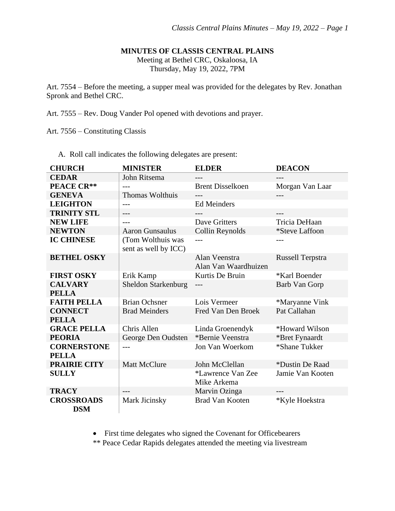### **MINUTES OF CLASSIS CENTRAL PLAINS**

Meeting at Bethel CRC, Oskaloosa, IA Thursday, May 19, 2022, 7PM

Art. 7554 – Before the meeting, a supper meal was provided for the delegates by Rev. Jonathan Spronk and Bethel CRC.

Art. 7555 – Rev. Doug Vander Pol opened with devotions and prayer.

Art. 7556 – Constituting Classis

A. Roll call indicates the following delegates are present:

| <b>CHURCH</b>                   | <b>MINISTER</b>                           | <b>ELDER</b>                          | <b>DEACON</b>           |
|---------------------------------|-------------------------------------------|---------------------------------------|-------------------------|
| <b>CEDAR</b>                    | John Ritsema                              | ---                                   | ---                     |
| <b>PEACE CR**</b>               |                                           | <b>Brent Disselkoen</b>               | Morgan Van Laar         |
| <b>GENEVA</b>                   | <b>Thomas Wolthuis</b>                    |                                       |                         |
| <b>LEIGHTON</b>                 | $---$                                     | <b>Ed Meinders</b>                    |                         |
| <b>TRINITY STL</b>              | ---                                       |                                       |                         |
| <b>NEW LIFE</b>                 | $---$                                     | Dave Gritters                         | Tricia DeHaan           |
| <b>NEWTON</b>                   | <b>Aaron Gunsaulus</b>                    | Collin Reynolds                       | <i>*Steve Laffoon</i>   |
| <b>IC CHINESE</b>               | (Tom Wolthuis was<br>sent as well by ICC) |                                       |                         |
| <b>BETHEL OSKY</b>              |                                           | Alan Veenstra<br>Alan Van Waardhuizen | <b>Russell Terpstra</b> |
| <b>FIRST OSKY</b>               | Erik Kamp                                 | Kurtis De Bruin                       | *Karl Boender           |
| <b>CALVARY</b><br><b>PELLA</b>  | <b>Sheldon Starkenburg</b>                | ---                                   | Barb Van Gorp           |
| <b>FAITH PELLA</b>              | <b>Brian Ochsner</b>                      | Lois Vermeer                          | *Maryanne Vink          |
| <b>CONNECT</b>                  | <b>Brad Meinders</b>                      | Fred Van Den Broek                    | Pat Callahan            |
| <b>PELLA</b>                    |                                           |                                       |                         |
| <b>GRACE PELLA</b>              | Chris Allen                               | Linda Groenendyk                      | *Howard Wilson          |
| <b>PEORIA</b>                   | George Den Oudsten                        | *Bernie Veenstra                      | *Bret Fynaardt          |
| <b>CORNERSTONE</b>              |                                           | Jon Van Woerkom                       | *Shane Tukker           |
| <b>PELLA</b>                    |                                           |                                       |                         |
| <b>PRAIRIE CITY</b>             | <b>Matt McClure</b>                       | John McClellan                        | *Dustin De Raad         |
| <b>SULLY</b>                    |                                           | *Lawrence Van Zee<br>Mike Arkema      | Jamie Van Kooten        |
| <b>TRACY</b>                    |                                           | Marvin Ozinga                         | ---                     |
| <b>CROSSROADS</b><br><b>DSM</b> | Mark Jicinsky                             | <b>Brad Van Kooten</b>                | *Kyle Hoekstra          |

• First time delegates who signed the Covenant for Officebearers

\*\* Peace Cedar Rapids delegates attended the meeting via livestream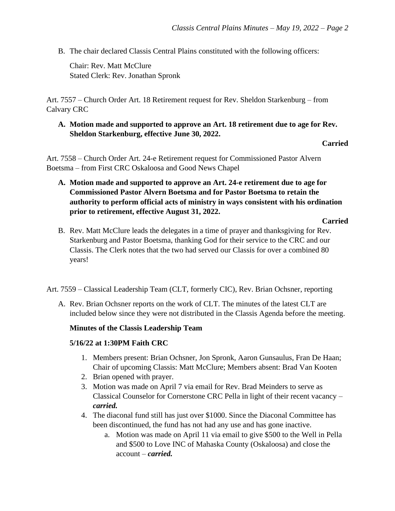B. The chair declared Classis Central Plains constituted with the following officers:

Chair: Rev. Matt McClure Stated Clerk: Rev. Jonathan Spronk

Art. 7557 – Church Order Art. 18 Retirement request for Rev. Sheldon Starkenburg – from Calvary CRC

## **A. Motion made and supported to approve an Art. 18 retirement due to age for Rev. Sheldon Starkenburg, effective June 30, 2022.**

## **Carried**

Art. 7558 – Church Order Art. 24-e Retirement request for Commissioned Pastor Alvern Boetsma – from First CRC Oskaloosa and Good News Chapel

**A. Motion made and supported to approve an Art. 24-e retirement due to age for Commissioned Pastor Alvern Boetsma and for Pastor Boetsma to retain the authority to perform official acts of ministry in ways consistent with his ordination prior to retirement, effective August 31, 2022.**

#### **Carried**

B. Rev. Matt McClure leads the delegates in a time of prayer and thanksgiving for Rev. Starkenburg and Pastor Boetsma, thanking God for their service to the CRC and our Classis. The Clerk notes that the two had served our Classis for over a combined 80 years!

Art. 7559 – Classical Leadership Team (CLT, formerly CIC), Rev. Brian Ochsner, reporting

A. Rev. Brian Ochsner reports on the work of CLT. The minutes of the latest CLT are included below since they were not distributed in the Classis Agenda before the meeting.

# **Minutes of the Classis Leadership Team**

## **5/16/22 at 1:30PM Faith CRC**

- 1. Members present: Brian Ochsner, Jon Spronk, Aaron Gunsaulus, Fran De Haan; Chair of upcoming Classis: Matt McClure; Members absent: Brad Van Kooten
- 2. Brian opened with prayer.
- 3. Motion was made on April 7 via email for Rev. Brad Meinders to serve as Classical Counselor for Cornerstone CRC Pella in light of their recent vacancy – *carried.*
- 4. The diaconal fund still has just over \$1000. Since the Diaconal Committee has been discontinued, the fund has not had any use and has gone inactive.
	- a. Motion was made on April 11 via email to give \$500 to the Well in Pella and \$500 to Love INC of Mahaska County (Oskaloosa) and close the account – *carried.*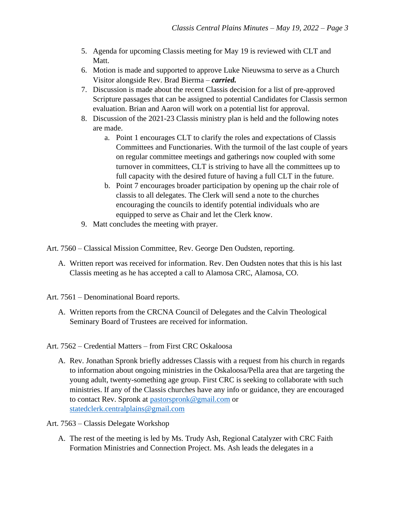- 5. Agenda for upcoming Classis meeting for May 19 is reviewed with CLT and Matt.
- 6. Motion is made and supported to approve Luke Nieuwsma to serve as a Church Visitor alongside Rev. Brad Bierma – *carried.*
- 7. Discussion is made about the recent Classis decision for a list of pre-approved Scripture passages that can be assigned to potential Candidates for Classis sermon evaluation. Brian and Aaron will work on a potential list for approval.
- 8. Discussion of the 2021-23 Classis ministry plan is held and the following notes are made.
	- a. Point 1 encourages CLT to clarify the roles and expectations of Classis Committees and Functionaries. With the turmoil of the last couple of years on regular committee meetings and gatherings now coupled with some turnover in committees, CLT is striving to have all the committees up to full capacity with the desired future of having a full CLT in the future.
	- b. Point 7 encourages broader participation by opening up the chair role of classis to all delegates. The Clerk will send a note to the churches encouraging the councils to identify potential individuals who are equipped to serve as Chair and let the Clerk know.
- 9. Matt concludes the meeting with prayer.
- Art. 7560 Classical Mission Committee, Rev. George Den Oudsten, reporting.
	- A. Written report was received for information. Rev. Den Oudsten notes that this is his last Classis meeting as he has accepted a call to Alamosa CRC, Alamosa, CO.
- Art. 7561 Denominational Board reports.
	- A. Written reports from the CRCNA Council of Delegates and the Calvin Theological Seminary Board of Trustees are received for information.
- Art. 7562 Credential Matters from First CRC Oskaloosa
	- A. Rev. Jonathan Spronk briefly addresses Classis with a request from his church in regards to information about ongoing ministries in the Oskaloosa/Pella area that are targeting the young adult, twenty-something age group. First CRC is seeking to collaborate with such ministries. If any of the Classis churches have any info or guidance, they are encouraged to contact Rev. Spronk at [pastorspronk@gmail.com](mailto:pastorspronk@gmail.com) or [statedclerk.centralplains@gmail.com](mailto:statedclerk.centralplains@gmail.com)
- Art. 7563 Classis Delegate Workshop
	- A. The rest of the meeting is led by Ms. Trudy Ash, Regional Catalyzer with CRC Faith Formation Ministries and Connection Project. Ms. Ash leads the delegates in a